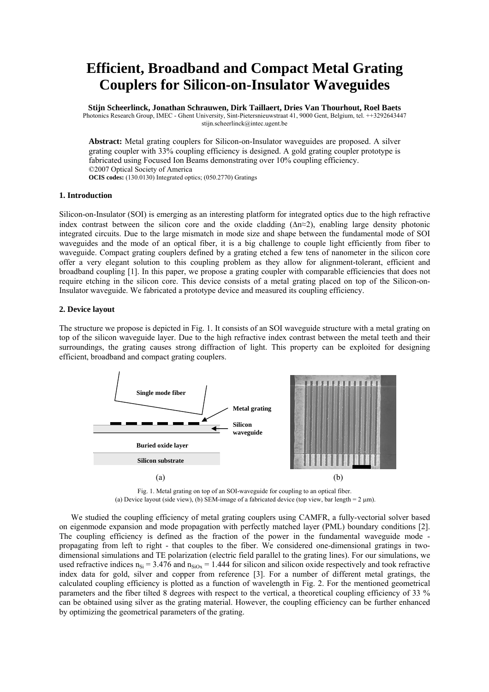# **Efficient, Broadband and Compact Metal Grating Couplers for Silicon-on-Insulator Waveguides**

**Stijn Scheerlinck, Jonathan Schrauwen, Dirk Taillaert, Dries Van Thourhout, Roel Baets**  Photonics Research Group, IMEC - Ghent University, Sint-Pietersnieuwstraat 41, 9000 Gent, Belgium, tel. ++3292643447 stijn.scheerlinck@intec.ugent.be

**Abstract:** [Metal grating couplers for Silicon-on-Insulator waveguides are proposed. A silver](http://www.mne05.org/) [grating coupler with 33% coupling efficiency is designed. A gold grating coupler prototype is](http://www.mne05.org/) [fabricated using Focused Ion Beams demonstrating over 10% coupling efficiency.](http://www.mne05.org/)  ©2007 Optical Society of America **OCIS codes:** (130.0130) Integrated optics; (050.2770) Gratings

## **1. Introduction**

Silicon-on-Insulator (SOI) is emerging as an interesting platform for integrated optics due to the high refractive index contrast between the silicon core and the oxide cladding (∆n≈2), enabling large density photonic integrated circuits. Due to the large mismatch in mode size and shape between the fundamental mode of SOI waveguides and the mode of an optical fiber, it is a big challenge to couple light efficiently from fiber to waveguide. Compact grating couplers defined by a grating etched a few tens of nanometer in the silicon core offer a very elegant solution to this coupling problem as they allow for alignment-tolerant, efficient and broadband coupling [1]. In this paper, we propose a grating coupler with comparable efficiencies that does not require etching in the silicon core. This device consists of a metal grating placed on top of the Silicon-on-Insulator waveguide. We fabricated a prototype device and measured its coupling efficiency.

## **2. Device layout**

The structure we propose is depicted in Fig. 1. It consists of an SOI waveguide structure with a metal grating on top of the silicon waveguide layer. Due to the high refractive index contrast between the metal teeth and their surroundings, the grating causes strong diffraction of light. This property can be exploited for designing efficient, broadband and compact grating couplers.



Fig. 1. Metal grating on top of an SOI-waveguide for coupling to an optical fiber. (a) Device layout (side view), (b) SEM-image of a fabricated device (top view, bar length =  $2 \mu m$ ).

We studied the coupling efficiency of metal grating couplers using CAMFR, a fully-vectorial solver based on eigenmode expansion and mode propagation with perfectly matched layer (PML) boundary conditions [2]. The coupling efficiency is defined as the fraction of the power in the fundamental waveguide mode propagating from left to right - that couples to the fiber. We considered one-dimensional gratings in twodimensional simulations and TE polarization (electric field parallel to the grating lines). For our simulations, we used refractive indices  $n_{Si} = 3.476$  and  $n_{SiOx} = 1.444$  for silicon and silicon oxide respectively and took refractive index data for gold, silver and copper from reference [3]. For a number of different metal gratings, the calculated coupling efficiency is plotted as a function of wavelength in Fig. 2. For the mentioned geometrical parameters and the fiber tilted 8 degrees with respect to the vertical, a theoretical coupling efficiency of 33 % can be obtained using silver as the grating material. However, the coupling efficiency can be further enhanced by optimizing the geometrical parameters of the grating.